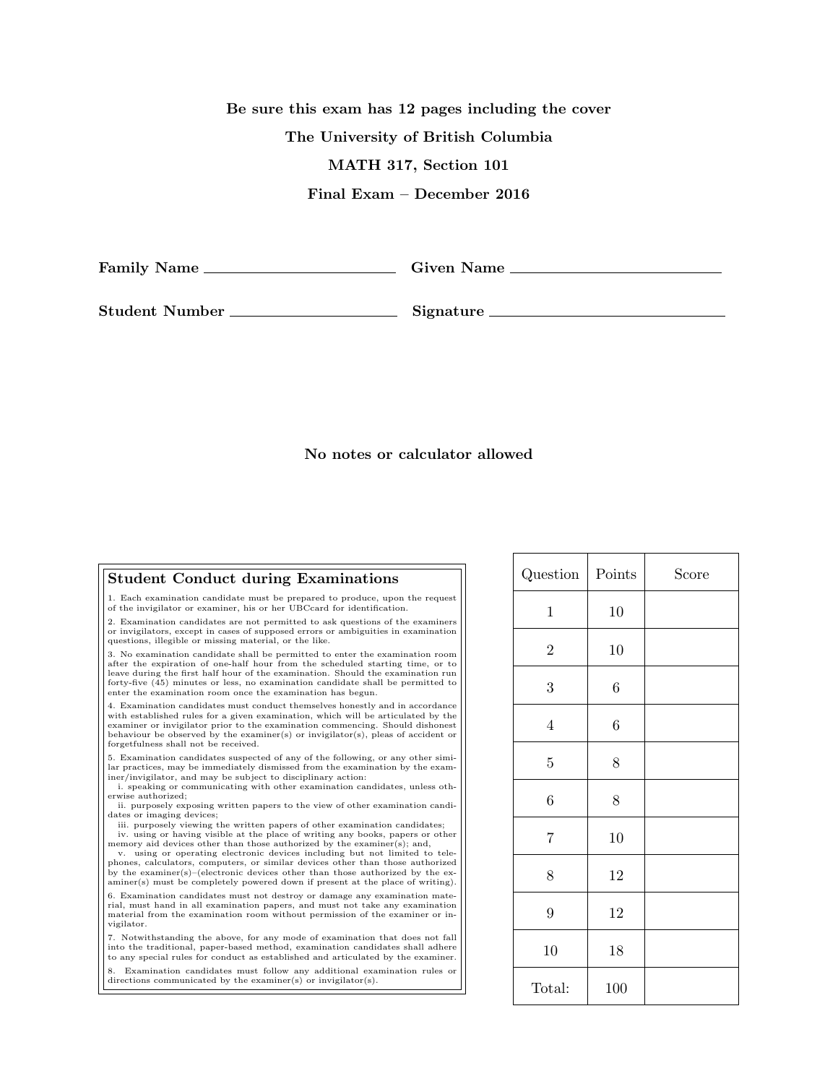Be sure this exam has 12 pages including the cover The University of British Columbia MATH 317, Section 101 Final Exam – December 2016

Family Name Given Name

Student Number Signature

## No notes or calculator allowed

## Student Conduct during Examinations 1. Each examination candidate must be prepared to produce, upon the request of the invigilator or examiner, his or her UBCcard for identification. 2. Examination candidates are not permitted to ask questions of the examiners or invigilators, except in cases of supposed errors or ambiguities in examination questions, illegible or missing material, or the like. 3. No examination candidate shall be permitted to enter the examination room after the expiration of one-half hour from the scheduled starting time, or to leave during the first half hour of the examination. Should the examination run forty-five (45) minutes or less, no examination candidate shall be permitted to enter the examination room once the examination has begun. 4. Examination candidates must conduct themselves honestly and in accordance with established rules for a given examination, which will be articulated by the examiner or invigilator prior to the examination commencing. Should dishonest behaviour be observed by the examiner(s) or invigilator(s), pleas of accident or forgetfulness shall not be received. 5. Examination candidates suspected of any of the following, or any other simi-lar practices, may be immediately dismissed from the examination by the examiner/invigilator, and may be subject to disciplinary action: i. speaking or communicating with other examination candidates, unless otherwise authorized; ii. purposely exposing written papers to the view of other examination candidates or imaging devices; iii. purposely viewing the written papers of other examination candidates; iv. using or having visible at the place of writing any books, papers or other memory aid devices other than those authorized by the examiner(s); and,<br>v. using or operating electronic devices including but not limited to telephones, calculators, computers, or similar devices other than those authorized by the examiner(s)–(electronic devices other than those authorized by the exand the completely powered down if present at the place of writing). 6. Examination candidates must not destroy or damage any examination material, must hand in all examination papers, and must not take any examination material from the examination room without permission of the examiner or invigilator. 7. Notwithstanding the above, for any mode of examination that does not fall into the traditional, paper-based method, examination candidates shall adhere to any special rules for conduct as established and articulated by the examiner. 8. Examination candidates must follow any additional examination rules or directions communicated by the examiner(s) or invigilator(s).

| Question    | Points           | Score |
|-------------|------------------|-------|
| $\mathbf 1$ | 10               |       |
| $\sqrt{2}$  | 10               |       |
| $\sqrt{3}$  | $\,6$            |       |
| $\,4\,$     | $\boldsymbol{6}$ |       |
| $\bf 5$     | 8                |       |
| 6           | $8\,$            |       |
| 7           | 10               |       |
| 8           | 12               |       |
| 9           | 12               |       |
| 10          | 18               |       |
| Total:      | 100              |       |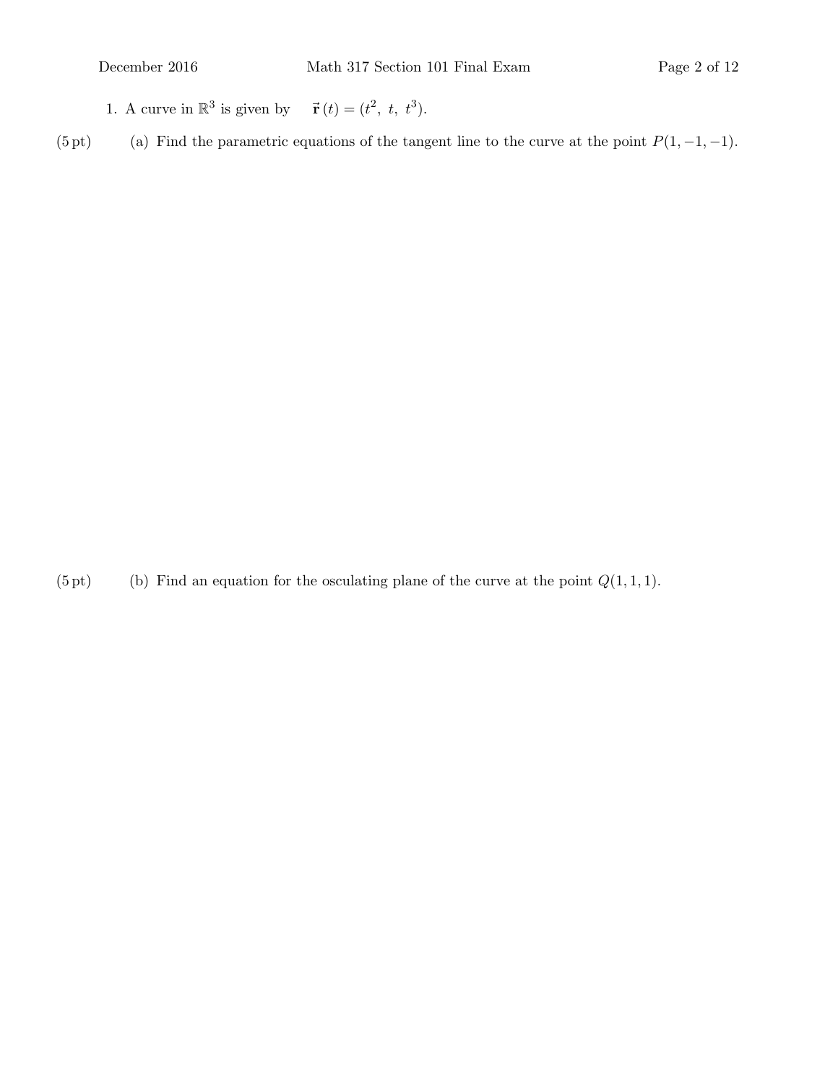- 1. A curve in  $\mathbb{R}^3$  is given by  $\vec{\mathbf{r}}(t) = (t^2, t, t^3)$ .
- (5 pt) Find the parametric equations of the tangent line to the curve at the point  $P(1, -1, -1)$ .

(5 pt) (b) Find an equation for the osculating plane of the curve at the point  $Q(1, 1, 1)$ .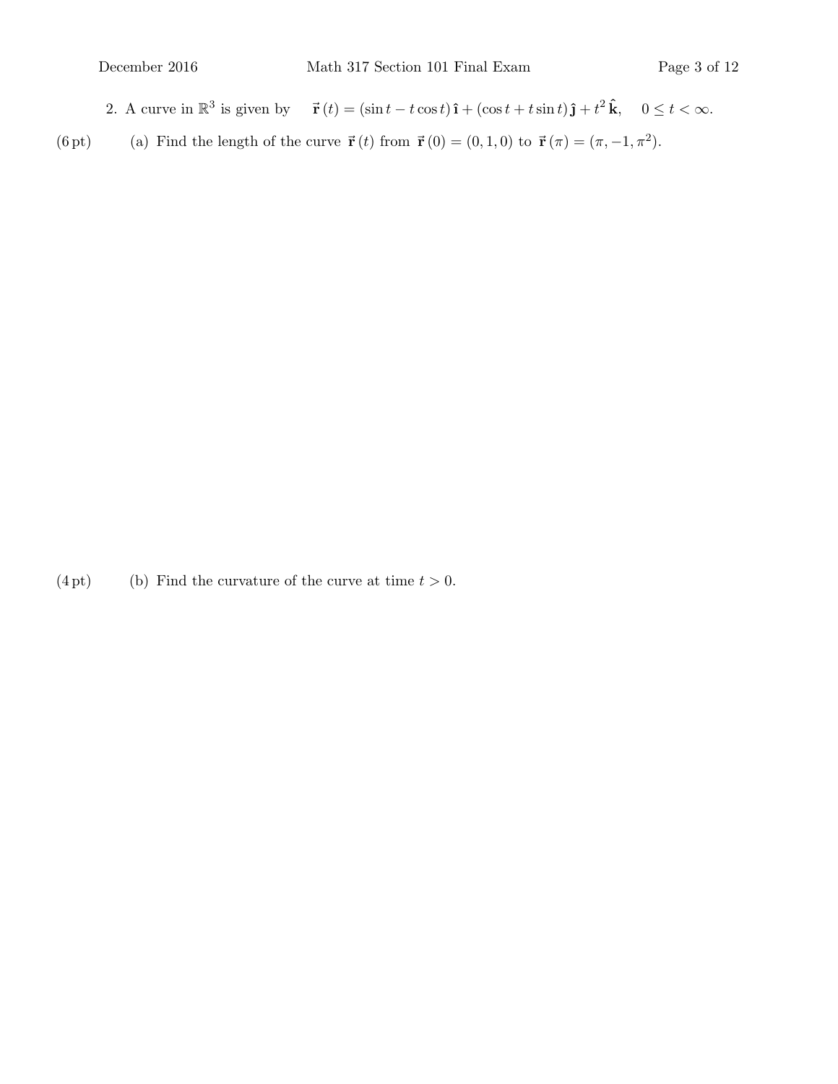- 2. A curve in  $\mathbb{R}^3$  is given by  $\vec{r}(t) = (\sin t t \cos t)\hat{i} + (\cos t + t \sin t)\hat{j} + t^2 \hat{k}, \quad 0 \le t < \infty$ .
- (6 pt) (a) Find the length of the curve  $\vec{\mathbf{r}}(t)$  from  $\vec{\mathbf{r}}(0) = (0, 1, 0)$  to  $\vec{\mathbf{r}}(\pi) = (\pi, -1, \pi^2)$ .

(4 pt) (b) Find the curvature of the curve at time  $t > 0$ .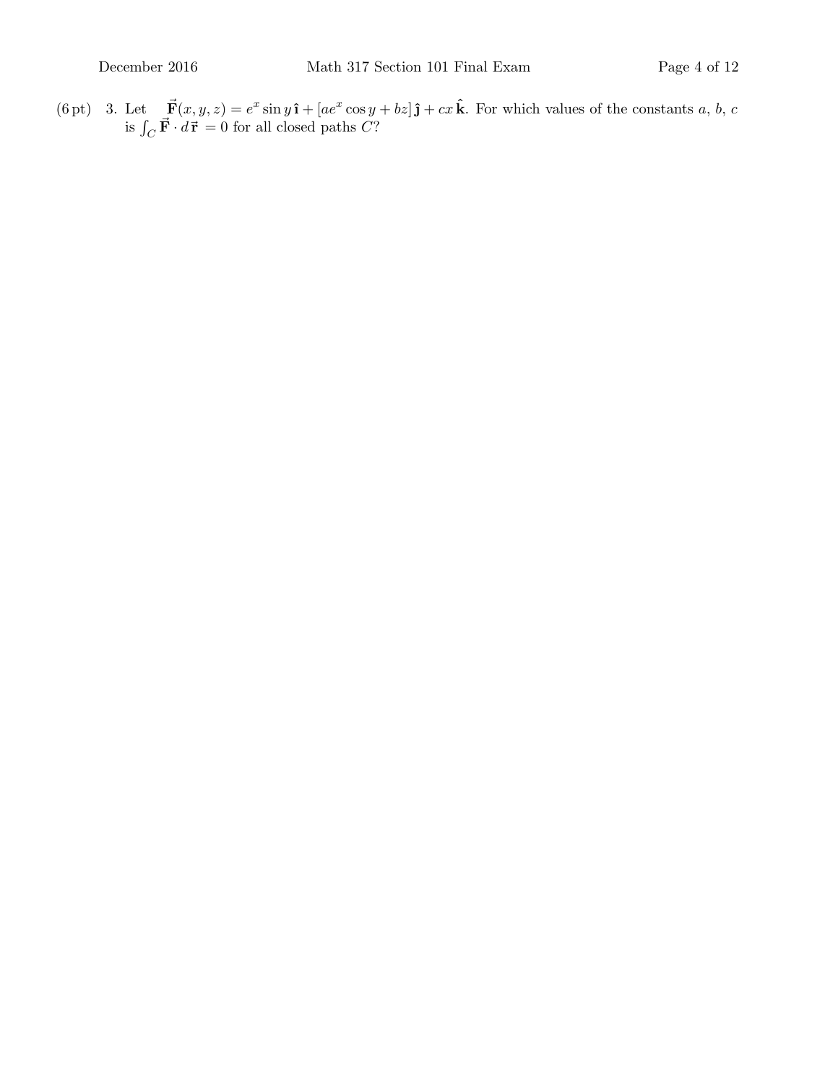(6 pt) 3. Let  $\vec{F}(x, y, z) = e^x \sin y \hat{\mathbf{i}} + [ae^x \cos y + bz]\hat{\mathbf{j}} + cx\hat{\mathbf{k}}$ . For which values of the constants a, b, c is  $\int_C \vec{F} \cdot d\vec{r} = 0$  for all closed paths C?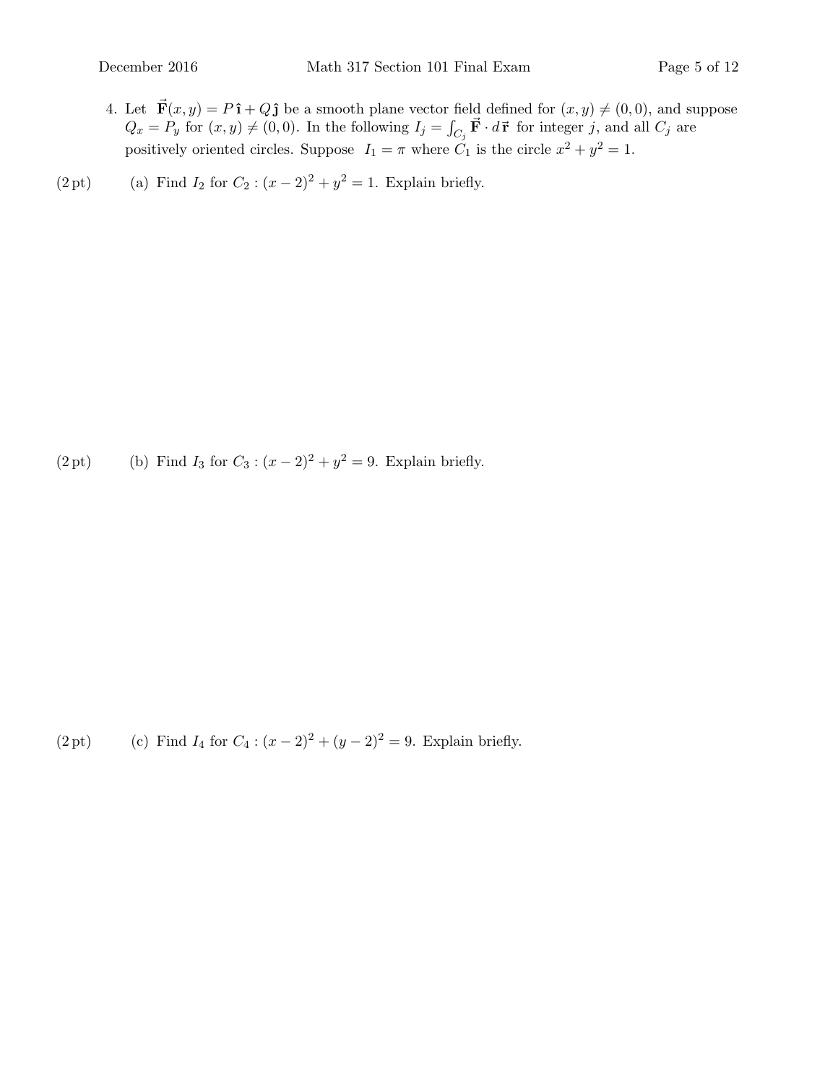- 4. Let  $\vec{F}(x, y) = P \hat{i} + Q \hat{j}$  be a smooth plane vector field defined for  $(x, y) \neq (0, 0)$ , and suppose  $Q_x = P_y$  for  $(x, y) \neq (0, 0)$ . In the following  $I_j = \int_{C_j} \vec{F} \cdot d\vec{r}$  for integer j, and all  $C_j$  are positively oriented circles. Suppose  $I_1 = \pi$  where  $C_1$  is the circle  $x^2 + y^2 = 1$ .
- (2 pt) (a) Find  $I_2$  for  $C_2$ :  $(x 2)^2 + y^2 = 1$ . Explain briefly.

(2 pt) (b) Find  $I_3$  for  $C_3$ :  $(x - 2)^2 + y^2 = 9$ . Explain briefly.

(2 pt) (c) Find  $I_4$  for  $C_4$  :  $(x - 2)^2 + (y - 2)^2 = 9$ . Explain briefly.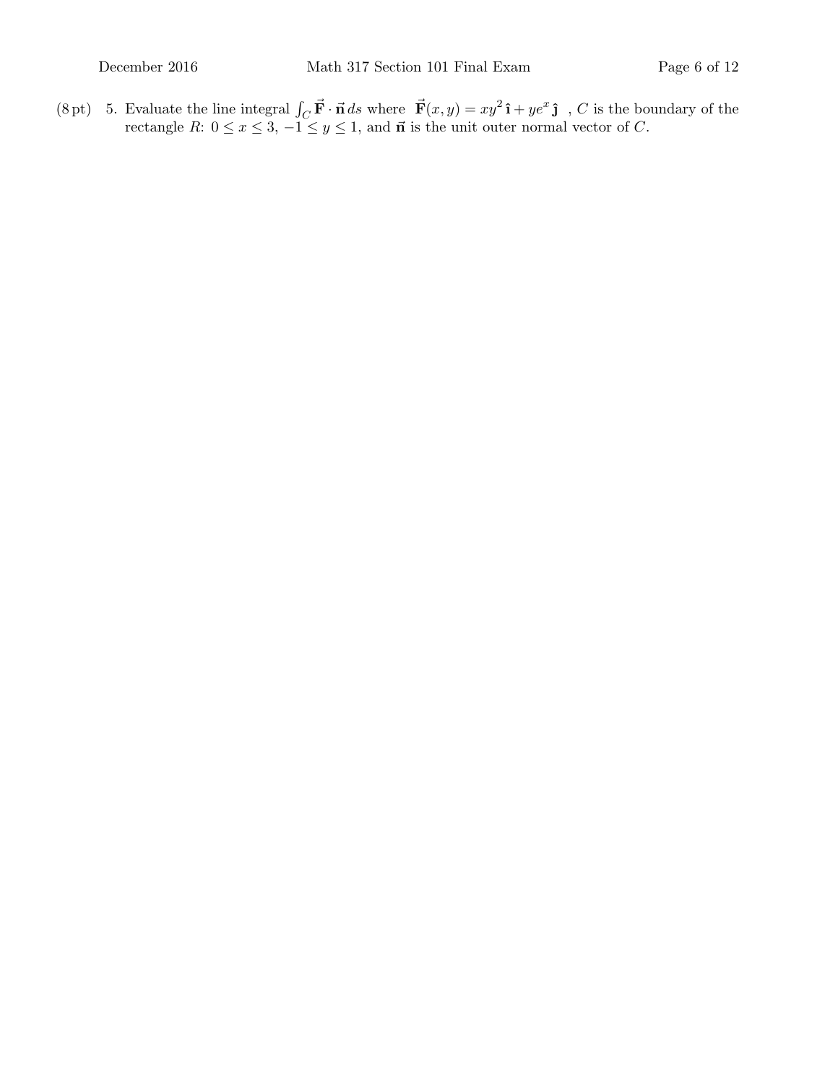(8 pt) 5. Evaluate the line integral  $\int_C \vec{F} \cdot \vec{n} ds$  where  $\vec{F}(x, y) = xy^2 \hat{i} + ye^x \hat{j}$ , C is the boundary of the rectangle R:  $0 \le x \le 3, -1 \le y \le 1$ , and  $\vec{n}$  is the unit outer normal vector of C.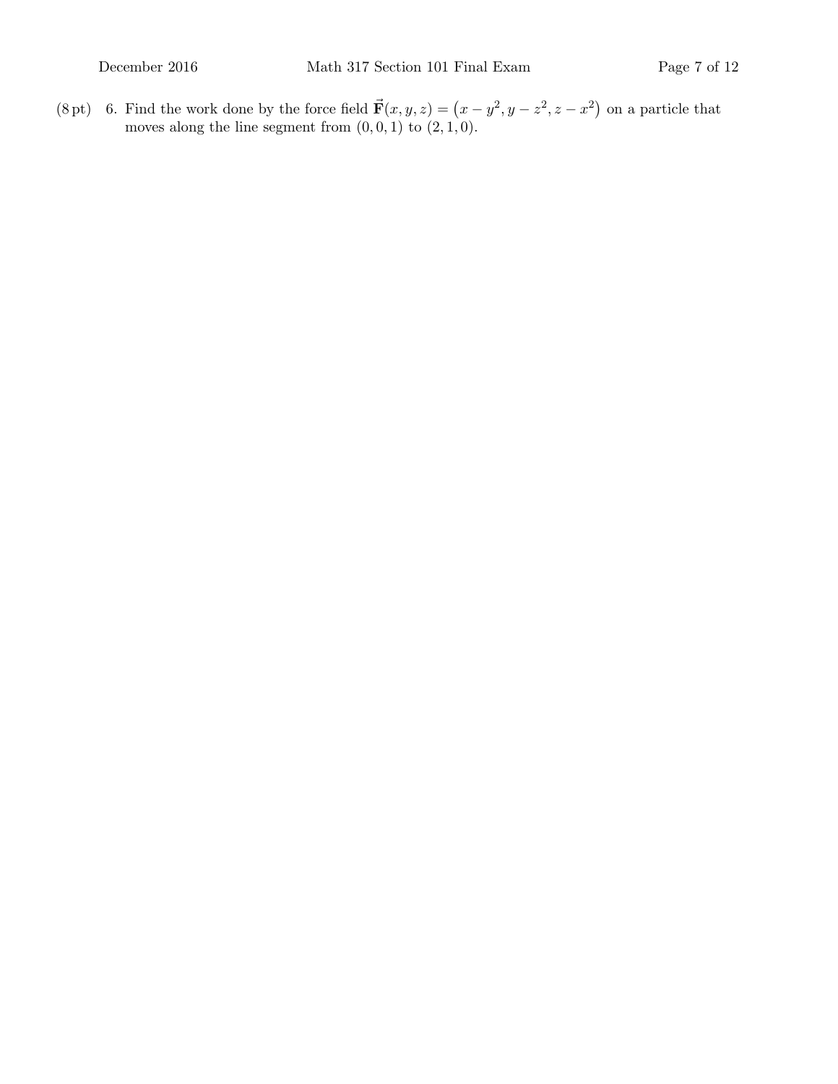(8 pt) 6. Find the work done by the force field  $\vec{F}(x, y, z) = (x - y^2, y - z^2, z - x^2)$  on a particle that moves along the line segment from  $(0, 0, 1)$  to  $(2, 1, 0)$ .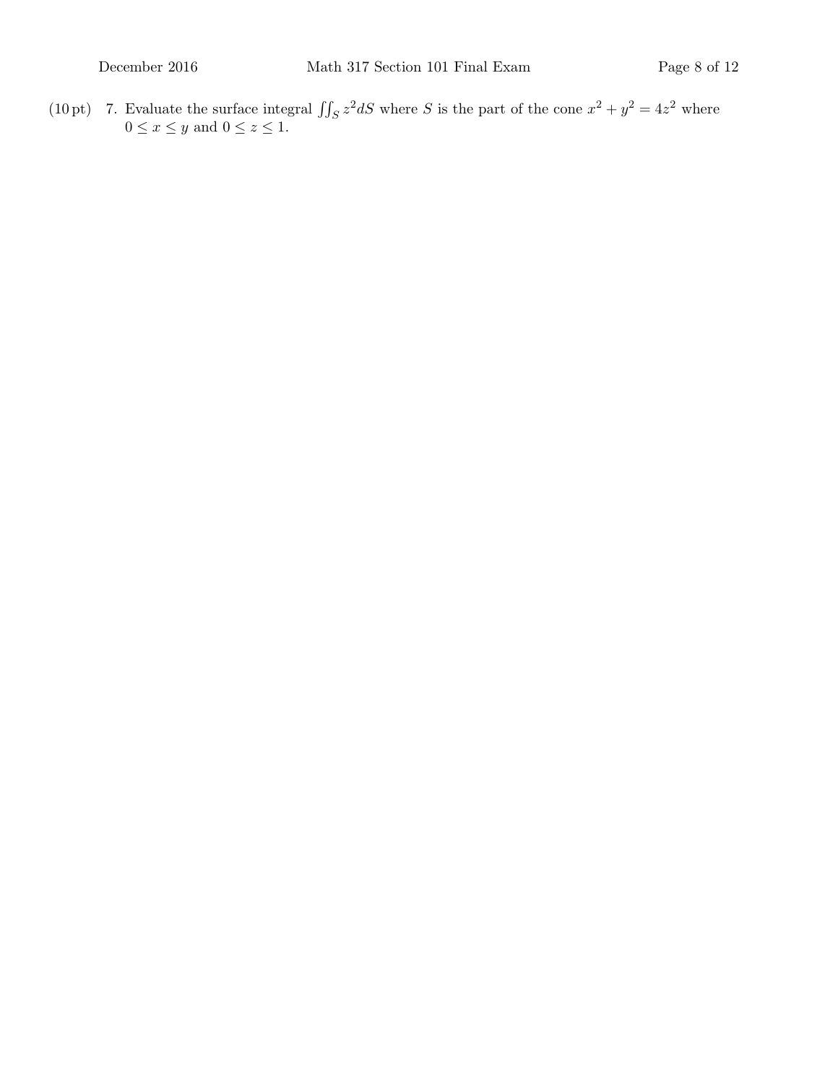(10 pt) 7. Evaluate the surface integral  $\iint_S z^2 dS$  where S is the part of the cone  $x^2 + y^2 = 4z^2$  where  $0 \leq x \leq y$  and  $0 \leq z \leq 1$ .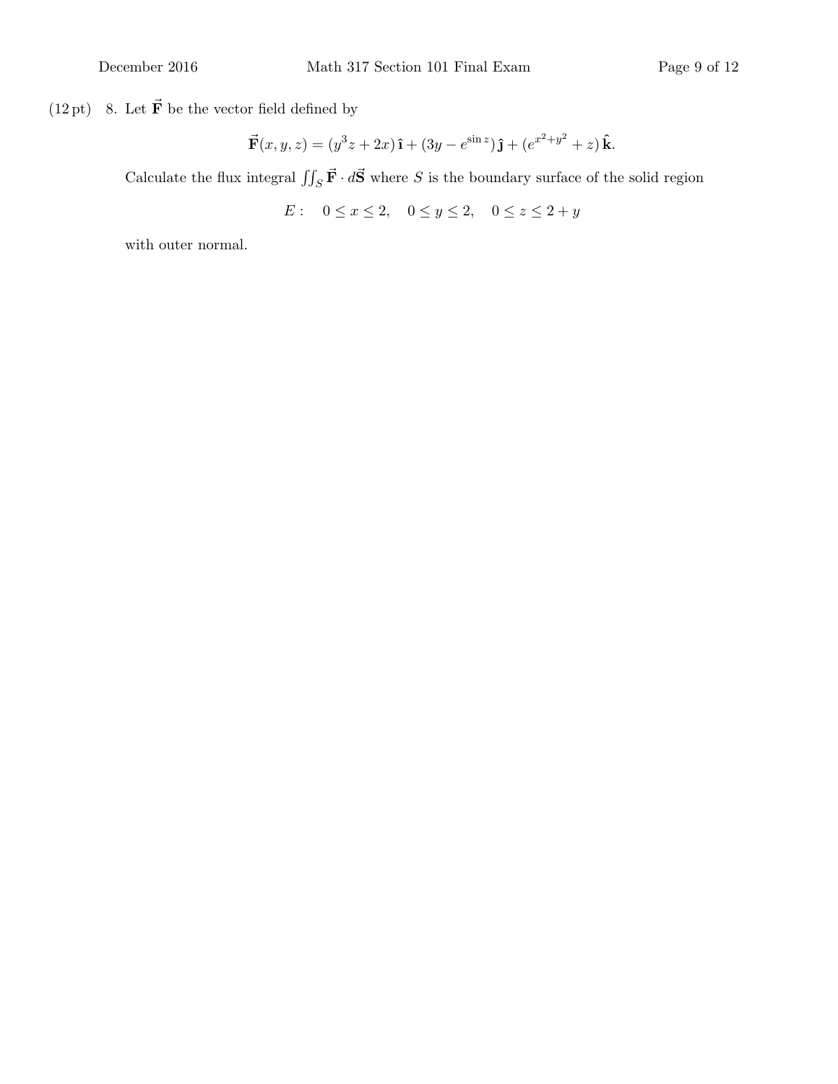(12 pt) –8. Let  $\vec{\mathbf{F}}$  be the vector field defined by

$$
\vec{\mathbf{F}}(x,y,z) = (y^3z + 2x)\,\hat{\mathbf{i}} + (3y - e^{\sin z})\,\hat{\mathbf{j}} + (e^{x^2 + y^2} + z)\,\hat{\mathbf{k}}.
$$

Calculate the flux integral  $\iint_S \vec{F} \cdot d\vec{S}$  where S is the boundary surface of the solid region

$$
E: \quad 0 \le x \le 2, \quad 0 \le y \le 2, \quad 0 \le z \le 2 + y
$$

with outer normal.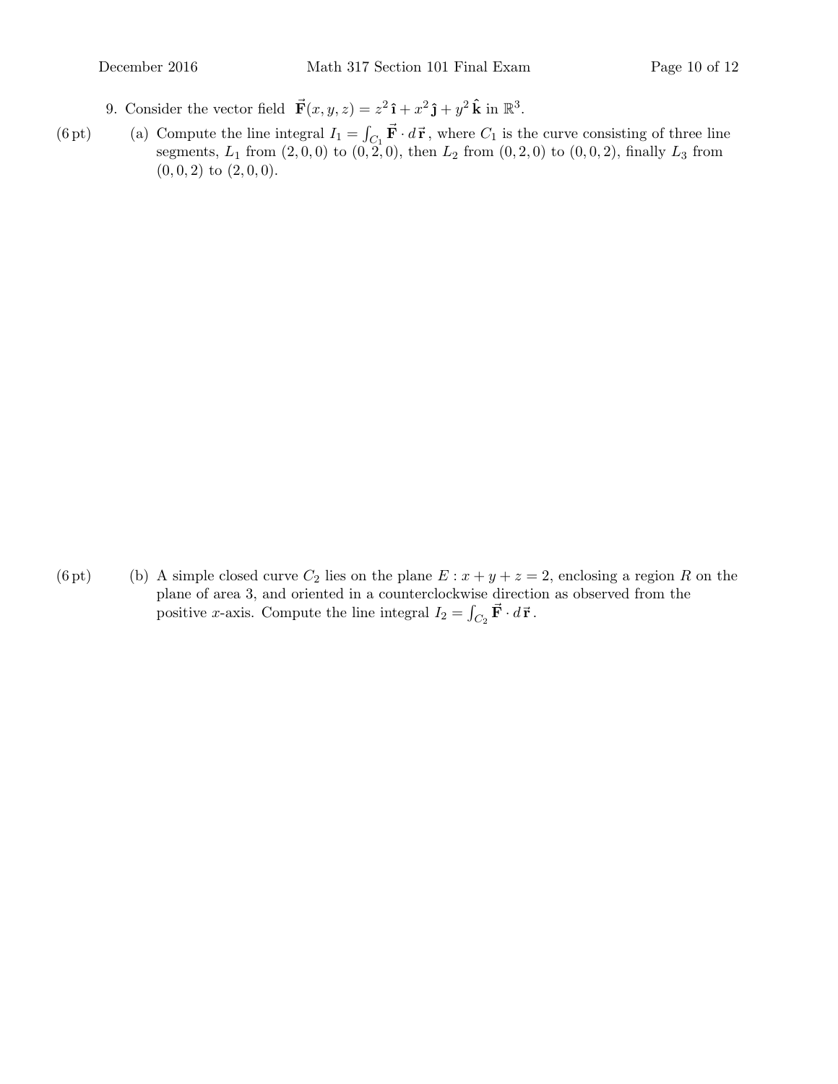- 9. Consider the vector field  $\vec{F}(x, y, z) = z^2 \hat{i} + x^2 \hat{j} + y^2 \hat{k}$  in  $\mathbb{R}^3$ .
- (6 pt) (a) Compute the line integral  $I_1 = \int_{C_1} \vec{F} \cdot d\vec{r}$ , where  $C_1$  is the curve consisting of three line segments,  $L_1$  from  $(2, 0, 0)$  to  $(0, 2, 0)$ , then  $L_2$  from  $(0, 2, 0)$  to  $(0, 0, 2)$ , finally  $L_3$  from  $(0, 0, 2)$  to  $(2, 0, 0)$ .

(6 pt) (b) A simple closed curve  $C_2$  lies on the plane  $E: x + y + z = 2$ , enclosing a region R on the plane of area 3, and oriented in a counterclockwise direction as observed from the positive *x*-axis. Compute the line integral  $I_2 = \int_{C_2} \vec{F} \cdot d\vec{r}$ .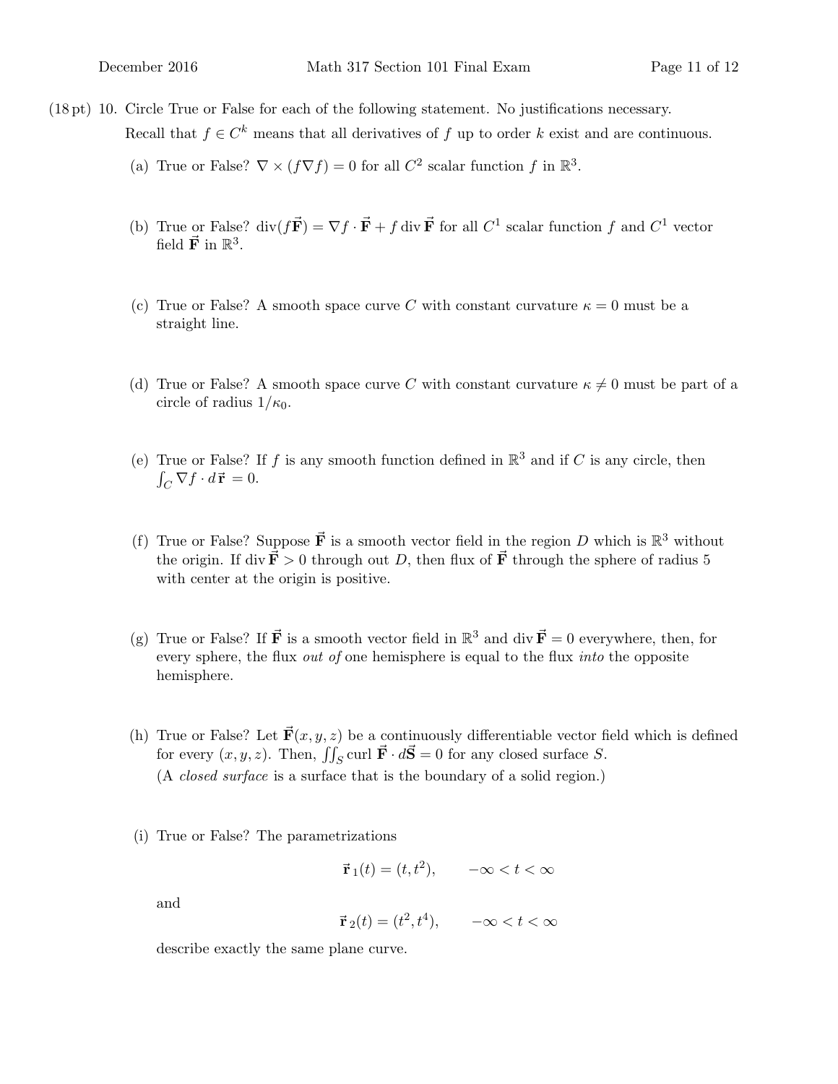- $(18 \text{ pt})$  10. Circle True or False for each of the following statement. No justifications necessary. Recall that  $f \in C^k$  means that all derivatives of f up to order k exist and are continuous.
	- (a) True or False?  $\nabla \times (f\nabla f) = 0$  for all  $C^2$  scalar function f in  $\mathbb{R}^3$ .
	- (b) True or False?  $\text{div}(f\vec{F}) = \nabla f \cdot \vec{F} + f \text{div } \vec{F}$  for all  $C^1$  scalar function f and  $C^1$  vector field  $\vec{F}$  in  $\mathbb{R}^3$ .
	- (c) True or False? A smooth space curve C with constant curvature  $\kappa = 0$  must be a straight line.
	- (d) True or False? A smooth space curve C with constant curvature  $\kappa \neq 0$  must be part of a circle of radius  $1/\kappa_0$ .
	- (e) True or False? If f is any smooth function defined in  $\mathbb{R}^3$  and if C is any circle, then  $\int_C \nabla f \cdot d\vec{\mathbf{r}} = 0.$
	- (f) True or False? Suppose  $\vec{F}$  is a smooth vector field in the region D which is  $\mathbb{R}^3$  without the origin. If div  $\vec{F} > 0$  through out D, then flux of  $\vec{F}$  through the sphere of radius 5 with center at the origin is positive.
	- (g) True or False? If  $\vec{F}$  is a smooth vector field in  $\mathbb{R}^3$  and div  $\vec{F} = 0$  everywhere, then, for every sphere, the flux *out of* one hemisphere is equal to the flux *into* the opposite hemisphere.
	- (h) True or False? Let  $\vec{F}(x, y, z)$  be a continuously differentiable vector field which is defined for every  $(x, y, z)$ . Then,  $\iint_S \text{curl } \vec{F} \cdot d\vec{S} = 0$  for any closed surface S. (A closed surface is a surface that is the boundary of a solid region.)
	- (i) True or False? The parametrizations

$$
\vec{\mathbf{r}}_1(t) = (t, t^2), \quad -\infty < t < \infty
$$

and

$$
\vec{\mathbf{r}}_2(t) = (t^2, t^4), \quad -\infty < t < \infty
$$

describe exactly the same plane curve.